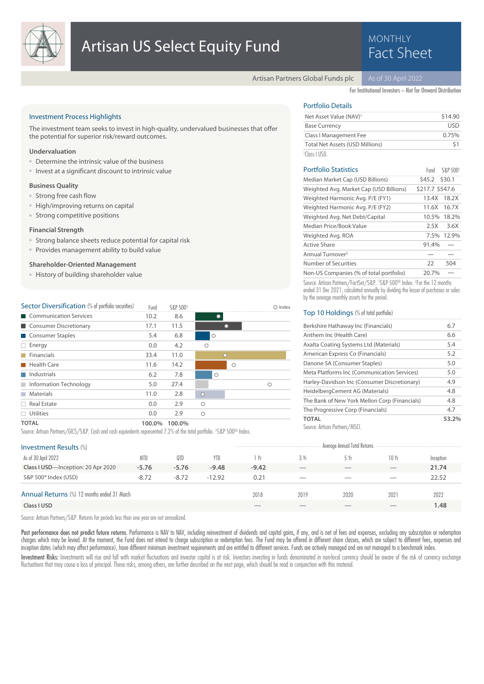

# **MONTHLY**

Artisan Partners Global Funds plc

For Institutional Investors – Not for Onward Distribution

# Investment Process Highlights

The investment team seeks to invest in high-quality, undervalued businesses that offer the potential for superior risk/reward outcomes.

## **Undervaluation**

- Determine the intrinsic value of the business
- Invest at a significant discount to intrinsic value

### **Business Quality**

- Strong free cash flow
- High/improving returns on capital
- Strong competitive positions

### **Financial Strength**

- Strong balance sheets reduce potential for capital risk
- Provides management ability to build value

# **Shareholder-Oriented Management**

■ History of building shareholder value

| Sector Diversification (% of portfolio securities) | Fund   | S&P 5001 |         |         |   | $\bigcirc$ Index |
|----------------------------------------------------|--------|----------|---------|---------|---|------------------|
| <b>Communication Services</b><br>a sa ta           | 10.2   | 8.6      |         |         |   |                  |
| Consumer Discretionary                             | 17.1   | 11.5     |         |         |   |                  |
| Consumer Staples                                   | 5.4    | 6.8      |         | Ο       |   |                  |
| Energy<br>ш                                        | 0.0    | 4.2      | Ο       |         |   |                  |
| Financials                                         | 33.4   | 11.0     |         | $\circ$ |   |                  |
| Health Care                                        | 11.6   | 14.2     |         |         | O |                  |
| Industrials                                        | 6.2    | 7.8      |         | Ο       |   |                  |
| Information Technology<br>m.                       | 5.0    | 27.4     |         |         |   | Ω                |
| <b>Materials</b><br><b>Talling</b>                 | 11.0   | 2.8      | $\circ$ |         |   |                  |
| Real Estate                                        | 0.0    | 2.9      | $\circ$ |         |   |                  |
| <b>Utilities</b>                                   | 0.0    | 2.9      | $\circ$ |         |   |                  |
| <b>TOTAL</b>                                       | 100.0% | 100.0%   |         |         |   |                  |

Source: Artisan Partners/GICS/S&P. Cash and cash equivalents represented 7.2% of the total portfolio. <sup>1</sup> S&P 500® Index.

# Portfolio Details

| Net Asset Value (NAV) <sup>1</sup>     | \$14.90 |
|----------------------------------------|---------|
| <b>Base Currency</b>                   | LISD    |
| Class I Management Fee                 | 0.75%   |
| <b>Total Net Assets (USD Millions)</b> |         |
| $1$ Class LUSD                         |         |

| <b>Portfolio Statistics</b>             | Fund            | S&P 5001 |
|-----------------------------------------|-----------------|----------|
| Median Market Cap (USD Billions)        | \$45.2 \$30.1   |          |
| Weighted Avg. Market Cap (USD Billions) | \$217.7 \$547.6 |          |
| Weighted Harmonic Avg. P/E (FY1)        | 13.4X           | 18.2X    |
| Weighted Harmonic Avg. P/E (FY2)        | 11.6X           | 16.7X    |
| Weighted Avg. Net Debt/Capital          | 10.5%           | 18.2%    |
| Median Price/Book Value                 | 2.5X            | 3.6X     |
| Weighted Avg. ROA                       | $7.5\%$         | 12.9%    |
| Active Share                            | 91.4%           |          |
| Annual Turnover <sup>2</sup>            |                 |          |
| Number of Securities                    | 22              | 504      |
| Non-US Companies (% of total portfolio) | 20.7%           |          |
|                                         |                 |          |

Source: Artisan Partners/FactSet/S&P. 1S&P 500<sup>®</sup> Index. <sup>2</sup>For the 12 months ended 31 Dec 2021, calculated annually by dividing the lesser of purchases or sales by the average monthly assets for the period.

### Top 10 Holdings (% of total portfolio)

| Berkshire Hathaway Inc (Financials)           | 6.7   |
|-----------------------------------------------|-------|
| Anthem Inc (Health Care)                      | 6.6   |
| Axalta Coating Systems Ltd (Materials)        | 5.4   |
| American Express Co (Financials)              | 5.2   |
| Danone SA (Consumer Staples)                  | 5.0   |
| Meta Platforms Inc (Communication Services)   | 5.0   |
| Harley-Davidson Inc (Consumer Discretionary)  | 4.9   |
| HeidelbergCement AG (Materials)               | 4.8   |
| The Bank of New York Mellon Corp (Financials) | 4.8   |
| The Progressive Corp (Financials)             | 4.7   |
| TOTAL                                         | 53.2% |
|                                               |       |

Source: Artisan Partners/MSCI.

| <b>Investment Results (%)</b>                      |            |         |          |         |      | Average Annual Total Returns |       |           |
|----------------------------------------------------|------------|---------|----------|---------|------|------------------------------|-------|-----------|
| As of 30 April 2022                                | <b>MTD</b> | 0TD     | YTD.     | 1 Yr    | 3 Yr | 5 Yr                         | 10 Yr | Inception |
| Class I USD-Inception: 20 Apr 2020                 | $-5.76$    | $-5.76$ | $-9.48$  | $-9.42$ |      |                              |       | 21.74     |
| S&P 500 <sup>®</sup> Index (USD)                   | $-8.72$    | $-8.72$ | $-12.92$ | 0.21    | __   | __                           | $-$   | 22.52     |
| <b>Annual Returns</b> (%) 12 months ended 31 March |            |         |          | 2018    | 2019 | 2020                         | 2021  | 2022      |
| Class I USD                                        |            |         |          |         |      |                              |       | .48       |

Source: Artisan Partners/S&P. Returns for periods less than one year are not annualized.

Past performance does not predict future returns. Performance is NAV to NAV, including reinvestment of dividends and capital gains, if any, and is net of fees and expenses, excluding any subscription or redemption charges which may be levied. At the moment, the Fund does not intend to charge subscription or redemption fees. The Fund may be offered in different share classes, which are subject to different fees, expenses and inception dates (which may affect performance), have different minimum investment requirements and are entitled to different services. Funds are actively managed and are not managed to a benchmark index.

Investment Risks: Investments will rise and fall with market fluctuations and investor capital is at risk. Investors investing in funds denominated in non-local currency should be aware of the risk of currency exchange fluctuations that may cause a loss of principal. These risks, among others, are further described on the next page, which should be read in conjunction with this material.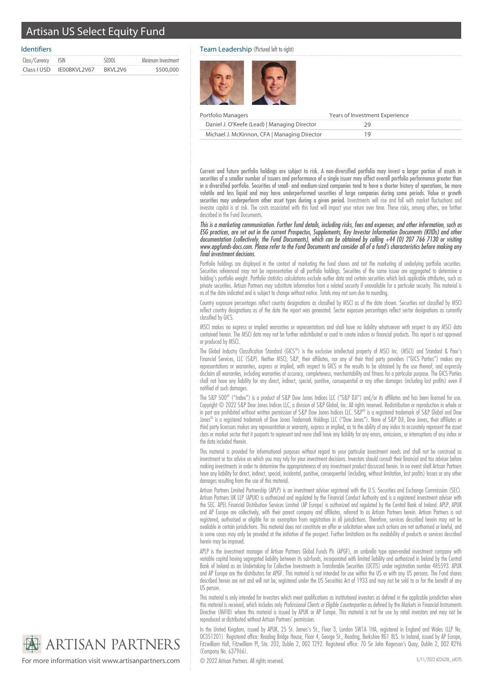# Artisan US Select Equity Fund

# Identifiers

| Class/Currency ISIN |              | <b>SEDOL</b> | Minimum Investment |
|---------------------|--------------|--------------|--------------------|
| Class I USD         | IE00BKVL2V67 | BKVL2V6      | \$500,000          |

# Team Leadership (Pictured left to right)



| Portfolio Managers                           | Years of Investment Experience |
|----------------------------------------------|--------------------------------|
| Daniel J. O'Keefe (Lead)   Managing Director |                                |
| Michael J. McKinnon, CFA   Managing Director |                                |

Current and future portfolio holdings are subject to risk. A non-diversified portfolio may invest a larger portion of assets in securities of a smaller number of issuers and performance of a single issuer may affect overall portfolio performance greater than in a diversified portfolio. Securities of small- and medium-sized companies tend to have a shorter history of operations, be more volatile and less liquid and may have underperformed securities of large companies during some periods. Value or growth securities may underperform other asset types during a given period. Investments will rise and fall with market fluctuations and investor capital is at risk. The costs associated with this fund will impact your return over time. These risks, among others, are further described in the Fund Documents.

This is a marketing communication. Further fund details, including risks, fees and expenses, and other information, such as ESG practices, are set out in the current Prospectus, Supplements, Key Investor Information Documents (KIIDs) and other documentation (collectively, the Fund Documents), which can be obtained by calling +44 (0) 207 766 7130 or visiting www.apgfunds-docs.com. Please refer to the Fund Documents and consider all of a fund's characteristics before making any final investment decisions.

Portfolio holdings are displayed in the context of marketing the fund shares and not the marketing of underlying portfolio securities. Securities referenced may not be representative of all portfolio holdings. Securities of the same issuer are aggregated to determine a holding's portfolio weight. Portfolio statistics calculations exclude outlier data and certain securities which lack applicable attributes, such as private securities. Artisan Partners may substitute information from a related security if unavailable for a particular security. This material is as of the date indicated and is subject to change without notice. Totals may not sum due to rounding.

Country exposure percentages reflect country designations as classified by MSCI as of the date shown. Securities not classified by MSCI reflect country designations as of the date the report was generated. Sector exposure percentages reflect sector designations as currently classified by GICS.

MSCI makes no express or implied warranties or representations and shall have no liability whatsoever with respect to any MSCI data contained herein. The MSCI data may not be further redistributed or used to create indices or financial products. This report is not approved or produced by MSCI.

The Global Industry Classification Standard (GICS®) is the exclusive intellectual property of MSCI Inc. (MSCI) and Standard & Poor's Financial Services, LLC (S&P). Neither MSCI, S&P, their affiliates, nor any of their third party providers ("GICS Parties") makes any representations or warranties, express or implied, with respect to GICS or the results to be obtained by the use thereof, and expressly disclaim all warranties, including warranties of accuracy, completeness, merchantability and fitness for a particular purpose. The GICS Parties shall not have any liability for any direct, indirect, special, punitive, consequential or any other damages (including lost profits) even if notified of such damages.

The S&P 500® ("Index") is a product of S&P Dow Jones Indices LLC ("S&P DJI") and/or its affiliates and has been licensed for use. Copyright © 2022 S&P Dow Jones Indices LLC, a division of S&P Global, Inc. All rights reserved. Redistribution or reproduction in whole or in part are prohibited without written permission of S&P Dow Jones Indices LLC. S&P® is a registered trademark of S&P Global and Dow Jones® is a registered trademark of Dow Jones Trademark Holdings LLC ("Dow Jones"). None of S&P DJI, Dow Jones, their affiliates or third party licensors makes any representation or warranty, express or implied, as to the ability of any index to accurately represent the asset class or market sector that it purports to represent and none shall have any liability for any errors, omissions, or interruptions of any index or the data included therein.

This material is provided for informational purposes without regard to your particular investment needs and shall not be construed as investment or tax advice on which you may rely for your investment decisions. Investors should consult their financial and tax adviser before making investments in order to determine the appropriateness of any investment product discussed herein. In no event shall Artisan Partners have any liability for direct, indirect, special, incidental, punitive, consequential (including, without limitation, lost profits) losses or any other damages resulting from the use of this material.

Artisan Partners Limited Partnership (APLP) is an investment adviser registered with the U.S. Securities and Exchange Commission (SEC). Artisan Partners UK LLP (APUK) is authorized and regulated by the Financial Conduct Authority and is a registered investment adviser with the SEC. APEL Financial Distribution Services Limited (AP Europe) is authorized and regulated by the Central Bank of Ireland. APLP, APUK and AP Europe are collectively, with their parent company and affiliates, referred to as Artisan Partners herein. Artisan Partners is not registered, authorised or eligible for an exemption from registration in all jurisdictions. Therefore, services described herein may not be available in certain jurisdictions. This material does not constitute an offer or solicitation where such actions are not authorised or lawful, and in some cases may only be provided at the initiative of the prospect. Further limitations on the availability of products or services described herein may be imposed.

APLP is the investment manager of Artisan Partners Global Funds Plc (APGF), an umbrella type open-ended investment company with variable capital having segregated liability between its sub-funds, incorporated with limited liability and authorized in Ireland by the Central Bank of Ireland as an Undertaking for Collective Investments in Transferable Securities (UCITS) under registration number 485593. APUK and AP Europe are the distributors for APGF. This material is not intended for use within the US or with any US persons. The Fund shares described herein are not and will not be, registered under the US Securities Act of 1933 and may not be sold to or for the benefit of any US person.

This material is only intended for investors which meet qualifications as institutional investors as defined in the applicable jurisdiction where this material is received, which includes only Professional Clients or Eligible Counterparties as defined by the Markets in Financial Instruments Directive (MiFID) where this material is issued by APUK or AP Europe. This material is not for use by retail investors and may not be reproduced or distributed without Artisan Partners' permission.

In the United Kingdom, issued by APUK, 25 St. James's St., Floor 3, London SW1A 1HA, registered in England and Wales (LLP No. OC351201). Registered office: Reading Bridge House, Floor 4, George St., Reading, Berkshire RG1 8LS. In Ireland, issued by AP Europe, Fitzwilliam Hall, Fitzwilliam Pl, Ste. 202, Dublin 2, D02 T292. Registered office: 70 Sir John Rogerson's Quay, Dublin 2, D02 R296 (Company No. 637966).



For more information visit www.artisanpartners.com  $\bigcirc$  2022 Artisan Partners. All rights reserved.